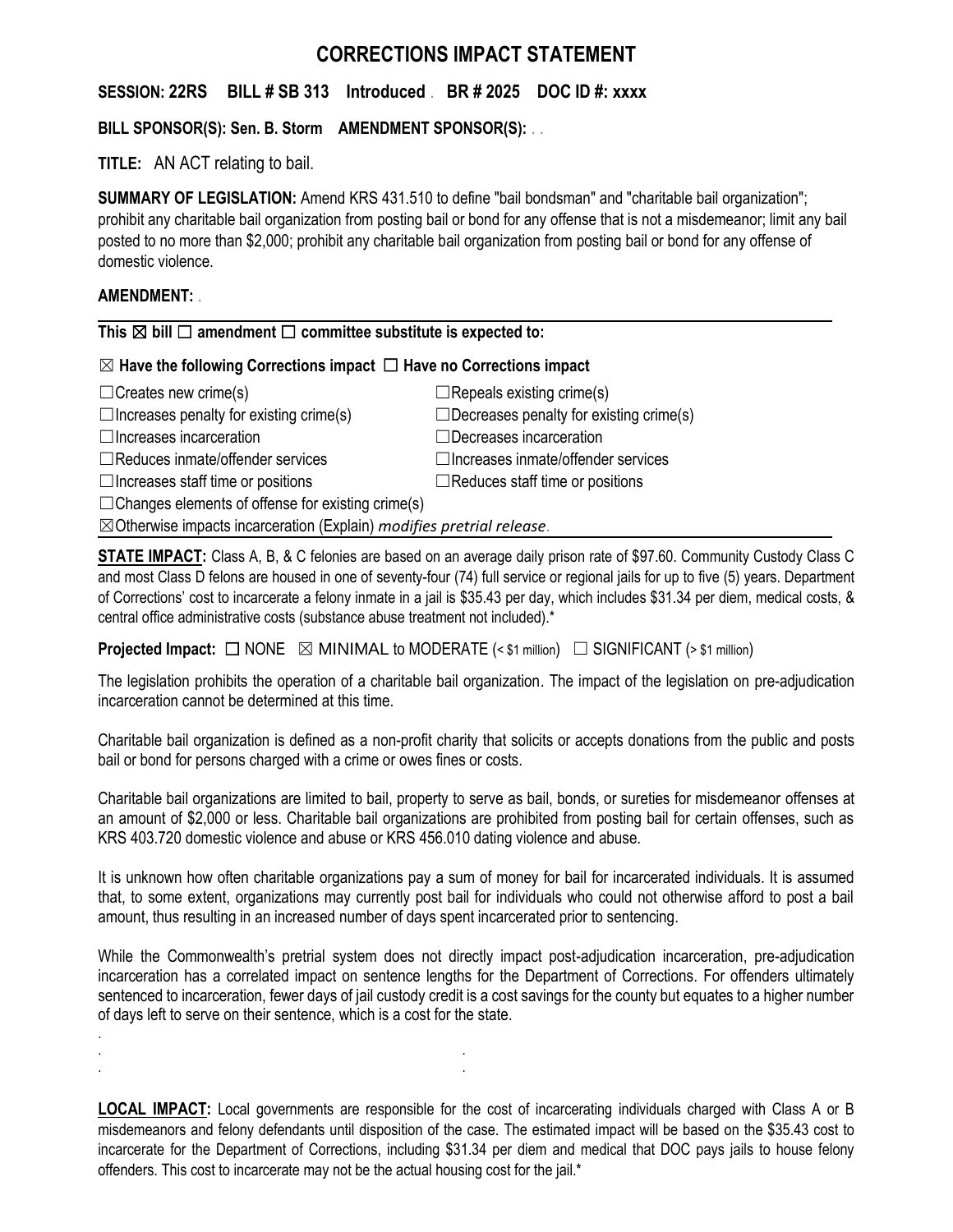# **CORRECTIONS IMPACT STATEMENT**

**SESSION: 22RS BILL # SB 313 Introduced** . **BR # 2025 DOC ID #: xxxx**

## **BILL SPONSOR(S): Sen. B. Storm AMENDMENT SPONSOR(S):** . .

**TITLE:** AN ACT relating to bail.

**SUMMARY OF LEGISLATION:** Amend KRS 431.510 to define "bail bondsman" and "charitable bail organization"; prohibit any charitable bail organization from posting bail or bond for any offense that is not a misdemeanor; limit any bail posted to no more than \$2,000; prohibit any charitable bail organization from posting bail or bond for any offense of domestic violence.

## **AMENDMENT:** .

.

. . . .

#### **This** ☒ **bill** ☐ **amendment** ☐ **committee substitute is expected to:**

## ☒ **Have the following Corrections impact** ☐ **Have no Corrections impact**

| $\Box$ Creates new crime(s)                                                      | $\Box$ Repeals existing crime(s)               |
|----------------------------------------------------------------------------------|------------------------------------------------|
| $\Box$ Increases penalty for existing crime(s)                                   | $\Box$ Decreases penalty for existing crime(s) |
| $\Box$ Increases incarceration                                                   | $\Box$ Decreases incarceration                 |
| $\Box$ Reduces inmate/offender services                                          | $\Box$ Increases inmate/offender services      |
| $\Box$ Increases staff time or positions                                         | $\Box$ Reduces staff time or positions         |
| $\Box$ Changes elements of offense for existing crime(s)                         |                                                |
| $\boxtimes$ Otherwise impacts incarceration (Explain) modifies pretrial release. |                                                |

**STATE IMPACT:** Class A, B, & C felonies are based on an average daily prison rate of \$97.60. Community Custody Class C and most Class D felons are housed in one of seventy-four (74) full service or regional jails for up to five (5) years. Department of Corrections' cost to incarcerate a felony inmate in a jail is \$35.43 per day, which includes \$31.34 per diem, medical costs, & central office administrative costs (substance abuse treatment not included).\*

**Projected Impact:**  $\Box$  NONE  $\boxtimes$  MINIMAL to MODERATE (< \$1 million)  $\Box$  SIGNIFICANT (> \$1 million)

The legislation prohibits the operation of a charitable bail organization. The impact of the legislation on pre-adjudication incarceration cannot be determined at this time.

Charitable bail organization is defined as a non-profit charity that solicits or accepts donations from the public and posts bail or bond for persons charged with a crime or owes fines or costs.

Charitable bail organizations are limited to bail, property to serve as bail, bonds, or sureties for misdemeanor offenses at an amount of \$2,000 or less. Charitable bail organizations are prohibited from posting bail for certain offenses, such as KRS 403.720 domestic violence and abuse or KRS 456.010 dating violence and abuse.

It is unknown how often charitable organizations pay a sum of money for bail for incarcerated individuals. It is assumed that, to some extent, organizations may currently post bail for individuals who could not otherwise afford to post a bail amount, thus resulting in an increased number of days spent incarcerated prior to sentencing.

While the Commonwealth's pretrial system does not directly impact post-adjudication incarceration, pre-adjudication incarceration has a correlated impact on sentence lengths for the Department of Corrections. For offenders ultimately sentenced to incarceration, fewer days of jail custody credit is a cost savings for the county but equates to a higher number of days left to serve on their sentence, which is a cost for the state.

**LOCAL IMPACT:** Local governments are responsible for the cost of incarcerating individuals charged with Class A or B misdemeanors and felony defendants until disposition of the case. The estimated impact will be based on the \$35.43 cost to incarcerate for the Department of Corrections, including \$31.34 per diem and medical that DOC pays jails to house felony offenders. This cost to incarcerate may not be the actual housing cost for the jail.\*